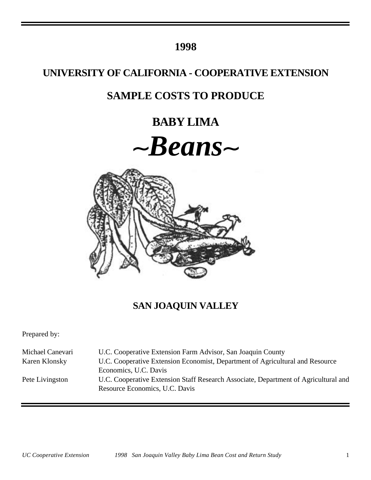# **1998**

# **UNIVERSITY OF CALIFORNIA - COOPERATIVE EXTENSION**

# **SAMPLE COSTS TO PRODUCE**

# **BABY LIMA**





# **SAN JOAQUIN VALLEY**

Prepared by:

| Michael Canevari | U.C. Cooperative Extension Farm Advisor, San Joaquin County                                                           |
|------------------|-----------------------------------------------------------------------------------------------------------------------|
| Karen Klonsky    | U.C. Cooperative Extension Economist, Department of Agricultural and Resource                                         |
|                  | Economics, U.C. Davis                                                                                                 |
| Pete Livingston  | U.C. Cooperative Extension Staff Research Associate, Department of Agricultural and<br>Resource Economics, U.C. Davis |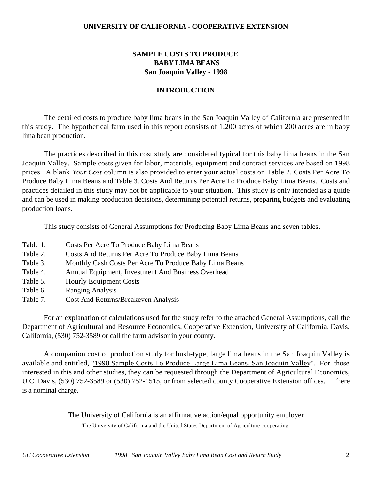### **UNIVERSITY OF CALIFORNIA - COOPERATIVE EXTENSION**

## **SAMPLE COSTS TO PRODUCE BABY LIMA BEANS San Joaquin Valley - 1998**

### **INTRODUCTION**

The detailed costs to produce baby lima beans in the San Joaquin Valley of California are presented in this study. The hypothetical farm used in this report consists of 1,200 acres of which 200 acres are in baby lima bean production.

The practices described in this cost study are considered typical for this baby lima beans in the San Joaquin Valley. Sample costs given for labor, materials, equipment and contract services are based on 1998 prices. A blank *Your Cost* column is also provided to enter your actual costs on Table 2. Costs Per Acre To Produce Baby Lima Beans and Table 3. Costs And Returns Per Acre To Produce Baby Lima Beans. Costs and practices detailed in this study may not be applicable to your situation. This study is only intended as a guide and can be used in making production decisions, determining potential returns, preparing budgets and evaluating production loans.

This study consists of General Assumptions for Producing Baby Lima Beans and seven tables.

- Table 1. Costs Per Acre To Produce Baby Lima Beans
- Table 2. Costs And Returns Per Acre To Produce Baby Lima Beans
- Table 3. Monthly Cash Costs Per Acre To Produce Baby Lima Beans
- Table 4. Annual Equipment, Investment And Business Overhead
- Table 5. Hourly Equipment Costs
- Table 6. Ranging Analysis
- Table 7. Cost And Returns/Breakeven Analysis

For an explanation of calculations used for the study refer to the attached General Assumptions, call the Department of Agricultural and Resource Economics, Cooperative Extension, University of California, Davis, California, (530) 752-3589 or call the farm advisor in your county.

A companion cost of production study for bush-type, large lima beans in the San Joaquin Valley is available and entitled, "1998 Sample Costs To Produce Large Lima Beans, San Joaquin Valley". For those interested in this and other studies, they can be requested through the Department of Agricultural Economics, U.C. Davis, (530) 752-3589 or (530) 752-1515, or from selected county Cooperative Extension offices. There is a nominal charge.

> The University of California is an affirmative action/equal opportunity employer The University of California and the United States Department of Agriculture cooperating.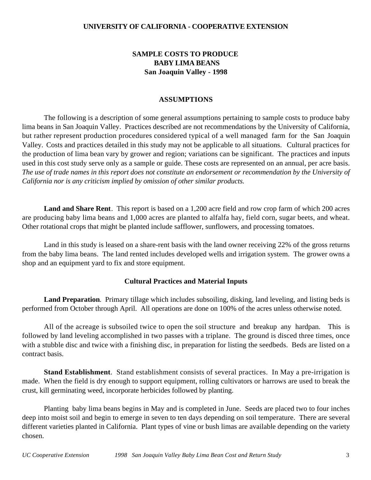### **UNIVERSITY OF CALIFORNIA - COOPERATIVE EXTENSION**

## **SAMPLE COSTS TO PRODUCE BABY LIMA BEANS San Joaquin Valley - 1998**

### **ASSUMPTIONS**

The following is a description of some general assumptions pertaining to sample costs to produce baby lima beans in San Joaquin Valley. Practices described are not recommendations by the University of California, but rather represent production procedures considered typical of a well managed farm for the San Joaquin Valley. Costs and practices detailed in this study may not be applicable to all situations.Cultural practices for the production of lima bean vary by grower and region; variations can be significant. The practices and inputs used in this cost study serve only as a sample or guide. These costs are represented on an annual, per acre basis. *The use of trade names in this report does not constitute an endorsement or recommendation by the University of California nor is any criticism implied by omission of other similar products.*

**Land and Share Rent**. This report is based on a 1,200 acre field and row crop farm of which 200 acres are producing baby lima beans and 1,000 acres are planted to alfalfa hay, field corn, sugar beets, and wheat. Other rotational crops that might be planted include safflower, sunflowers, and processing tomatoes.

Land in this study is leased on a share-rent basis with the land owner receiving 22% of the gross returns from the baby lima beans. The land rented includes developed wells and irrigation system. The grower owns a shop and an equipment yard to fix and store equipment.

### **Cultural Practices and Material Inputs**

**Land Preparation**. Primary tillage which includes subsoiling, disking, land leveling, and listing beds is performed from October through April. All operations are done on 100% of the acres unless otherwise noted.

All of the acreage is subsoiled twice to open the soil structure and breakup any hardpan. This is followed by land leveling accomplished in two passes with a triplane. The ground is disced three times, once with a stubble disc and twice with a finishing disc, in preparation for listing the seedbeds. Beds are listed on a contract basis.

**Stand Establishment**. Stand establishment consists of several practices. In May a pre-irrigation is made. When the field is dry enough to support equipment, rolling cultivators or harrows are used to break the crust, kill germinating weed, incorporate herbicides followed by planting.

Planting baby lima beans begins in May and is completed in June. Seeds are placed two to four inches deep into moist soil and begin to emerge in seven to ten days depending on soil temperature. There are several different varieties planted in California. Plant types of vine or bush limas are available depending on the variety chosen.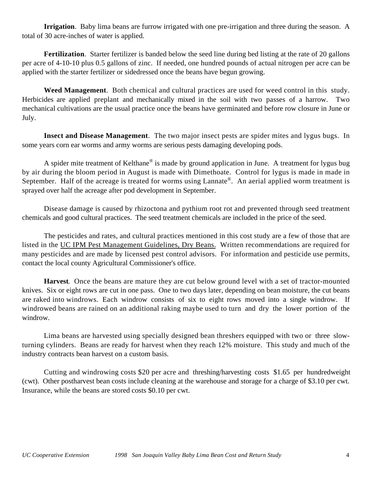**Irrigation**. Baby lima beans are furrow irrigated with one pre-irrigation and three during the season. A total of 30 acre-inches of water is applied.

**Fertilization**. Starter fertilizer is banded below the seed line during bed listing at the rate of 20 gallons per acre of 4-10-10 plus 0.5 gallons of zinc. If needed, one hundred pounds of actual nitrogen per acre can be applied with the starter fertilizer or sidedressed once the beans have begun growing.

**Weed Management**. Both chemical and cultural practices are used for weed control in this study. Herbicides are applied preplant and mechanically mixed in the soil with two passes of a harrow. Two mechanical cultivations are the usual practice once the beans have germinated and before row closure in June or July.

**Insect and Disease Management**. The two major insect pests are spider mites and lygus bugs. In some years corn ear worms and army worms are serious pests damaging developing pods.

A spider mite treatment of Kelthane<sup>®</sup> is made by ground application in June. A treatment for lygus bug by air during the bloom period in August is made with Dimethoate. Control for lygus is made in made in September. Half of the acreage is treated for worms using Lannate<sup>®</sup>. An aerial applied worm treatment is sprayed over half the acreage after pod development in September.

Disease damage is caused by rhizoctona and pythium root rot and prevented through seed treatment chemicals and good cultural practices. The seed treatment chemicals are included in the price of the seed.

The pesticides and rates, and cultural practices mentioned in this cost study are a few of those that are listed in the UC IPM Pest Management Guidelines, Dry Beans. Written recommendations are required for many pesticides and are made by licensed pest control advisors. For information and pesticide use permits, contact the local county Agricultural Commissioner's office.

**Harvest**. Once the beans are mature they are cut below ground level with a set of tractor-mounted knives. Six or eight rows are cut in one pass. One to two days later, depending on bean moisture, the cut beans are raked into windrows. Each windrow consists of six to eight rows moved into a single windrow. If windrowed beans are rained on an additional raking maybe used to turn and dry the lower portion of the windrow.

Lima beans are harvested using specially designed bean threshers equipped with two or three slowturning cylinders. Beans are ready for harvest when they reach 12% moisture. This study and much of the industry contracts bean harvest on a custom basis.

Cutting and windrowing costs \$20 per acre and threshing/harvesting costs \$1.65 per hundredweight (cwt). Other postharvest bean costs include cleaning at the warehouse and storage for a charge of \$3.10 per cwt. Insurance, while the beans are stored costs \$0.10 per cwt.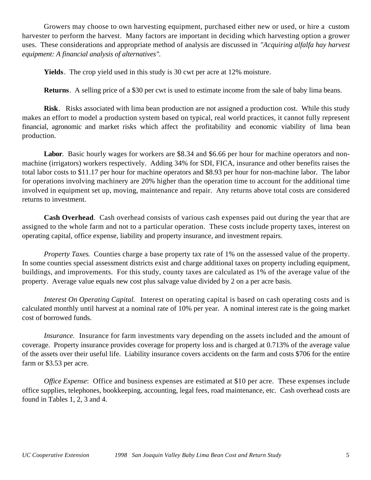Growers may choose to own harvesting equipment, purchased either new or used, or hire a custom harvester to perform the harvest. Many factors are important in deciding which harvesting option a grower uses. These considerations and appropriate method of analysis are discussed in *"Acquiring alfalfa hay harvest equipment: A financial analysis of alternatives".*

**Yields**. The crop yield used in this study is 30 cwt per acre at 12% moisture.

**Returns**. A selling price of a \$30 per cwt is used to estimate income from the sale of baby lima beans.

**Risk**. Risks associated with lima bean production are not assigned a production cost. While this study makes an effort to model a production system based on typical, real world practices, it cannot fully represent financial, agronomic and market risks which affect the profitability and economic viability of lima bean production.

**Labor**. Basic hourly wages for workers are \$8.34 and \$6.66 per hour for machine operators and nonmachine (irrigators) workers respectively. Adding 34% for SDI, FICA, insurance and other benefits raises the total labor costs to \$11.17 per hour for machine operators and \$8.93 per hour for non-machine labor. The labor for operations involving machinery are 20% higher than the operation time to account for the additional time involved in equipment set up, moving, maintenance and repair. Any returns above total costs are considered returns to investment.

**Cash Overhead**. Cash overhead consists of various cash expenses paid out during the year that are assigned to the whole farm and not to a particular operation. These costs include property taxes, interest on operating capital, office expense, liability and property insurance, and investment repairs.

*Property Taxes*. Counties charge a base property tax rate of 1% on the assessed value of the property. In some counties special assessment districts exist and charge additional taxes on property including equipment, buildings, and improvements. For this study, county taxes are calculated as 1% of the average value of the property. Average value equals new cost plus salvage value divided by 2 on a per acre basis.

*Interest On Operating Capital.* Interest on operating capital is based on cash operating costs and is calculated monthly until harvest at a nominal rate of 10% per year. A nominal interest rate is the going market cost of borrowed funds.

*Insurance.* Insurance for farm investments vary depending on the assets included and the amount of coverage. Property insurance provides coverage for property loss and is charged at 0.713% of the average value of the assets over their useful life. Liability insurance covers accidents on the farm and costs \$706 for the entire farm or \$3.53 per acre.

*Office Expense*: Office and business expenses are estimated at \$10 per acre. These expenses include office supplies, telephones, bookkeeping, accounting, legal fees, road maintenance, etc. Cash overhead costs are found in Tables 1, 2, 3 and 4.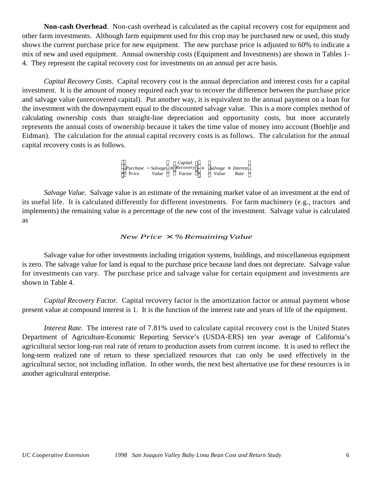**Non-cash Overhead**. Non-cash overhead is calculated as the capital recovery cost for equipment and other farm investments. Although farm equipment used for this crop may be purchased new or used, this study shows the current purchase price for new equipment. The new purchase price is adjusted to 60% to indicate a mix of new and used equipment. Annual ownership costs (Equipment and Investments) are shown in Tables 1- 4. They represent the capital recovery cost for investments on an annual per acre basis.

*Capital Recovery Costs*. Capital recovery cost is the annual depreciation and interest costs for a capital investment. It is the amount of money required each year to recover the difference between the purchase price and salvage value (unrecovered capital). Put another way, it is equivalent to the annual payment on a loan for the investment with the downpayment equal to the discounted salvage value. This is a more complex method of calculating ownership costs than straight-line depreciation and opportunity costs, but more accurately represents the annual costs of ownership because it takes the time value of money into account (Boehlje and Eidman). The calculation for the annual capital recovery costs is as follows. The calculation for the annual capital recovery costs is as follows.

> *Purchase* − *Salvage* × *Recovery* Pr*ice Value Factor Capital*  $\overline{\phantom{a}}$ Purchase - *Salvage* × *Recovery* + *Salvage* × *Interest*<br>Price *Value Easter Value Pate Value Rate*

*Salvage Value*. Salvage value is an estimate of the remaining market value of an investment at the end of its useful life. It is calculated differently for different investments. For farm machinery (e.g., tractors and implements) the remaining value is a percentage of the new cost of the investment. Salvage value is calculated as

### *New Price*  $\times$  *%Remaining Value*

Salvage value for other investments including irrigation systems, buildings, and miscellaneous equipment is zero. The salvage value for land is equal to the purchase price because land does not depreciate. Salvage value for investments can vary. The purchase price and salvage value for certain equipment and investments are shown in Table 4.

*Capital Recovery Factor*. Capital recovery factor is the amortization factor or annual payment whose present value at compound interest is 1. It is the function of the interest rate and years of life of the equipment.

*Interest Rate.* The interest rate of 7.81% used to calculate capital recovery cost is the United States Department of Agriculture-Economic Reporting Service's (USDA-ERS) ten year average of California's agricultural sector long-run real rate of return to production assets from current income. It is used to reflect the long-term realized rate of return to these specialized resources that can only be used effectively in the agricultural sector, not including inflation. In other words, the next best alternative use for these resources is in another agricultural enterprise.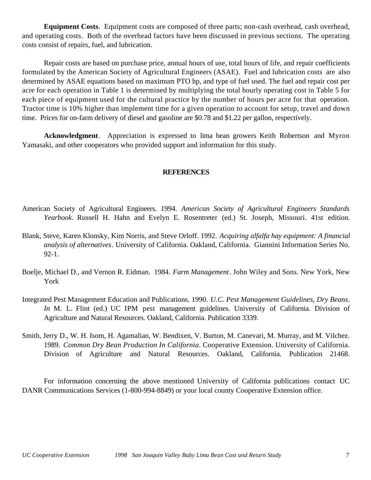**Equipment Costs**. Equipment costs are composed of three parts; non-cash overhead, cash overhead, and operating costs. Both of the overhead factors have been discussed in previous sections. The operating costs consist of repairs, fuel, and lubrication.

Repair costs are based on purchase price, annual hours of use, total hours of life, and repair coefficients formulated by the American Society of Agricultural Engineers (ASAE). Fuel and lubrication costs are also determined by ASAE equations based on maximum PTO hp, and type of fuel used. The fuel and repair cost per acre for each operation in Table 1 is determined by multiplying the total hourly operating cost in Table 5 for each piece of equipment used for the cultural practice by the number of hours per acre for that operation. Tractor time is 10% higher than implement time for a given operation to account for setup, travel and down time. Prices for on-farm delivery of diesel and gasoline are \$0.78 and \$1.22 per gallon, respectively.

**Acknowledgment**. Appreciation is expressed to lima bean growers Keith Robertson and Myron Yamasaki, and other cooperators who provided support and information for this study.

### **REFERENCES**

- American Society of Agricultural Engineers. 1994. *American Society of Agricultural Engineers Standards Yearbook*. Russell H. Hahn and Evelyn E. Rosentreter (ed.) St. Joseph, Missouri. 41st edition.
- Blank, Steve, Karen Klonsky, Kim Norris, and Steve Orloff. 1992. *Acquiring alfalfa hay equipment: A financial analysis of alternatives*. University of California. Oakland, California. Giannini Information Series No. 92-1.
- Boelje, Michael D., and Vernon R. Eidman. 1984. *Farm Management*. John Wiley and Sons. New York, New York
- Integrated Pest Management Education and Publications. 1990. *U.C. Pest Management Guidelines, Dry Beans*. *In* M. L. Flint (ed.) UC IPM pest management guidelines. University of California. Division of Agriculture and Natural Resources. Oakland, California. Publication 3339.
- Smith, Jerry D., W. H. Isom, H. Agamalian, W. Bendixen, V. Burton, M. Canevari, M. Murray, and M. Vilchez. 1989. *Common Dry Bean Production In California*. Cooperative Extension. University of California. Division of Agriculture and Natural Resources. Oakland, California. Publication 21468.

For information concerning the above mentioned University of California publications contact UC DANR Communications Services (1-800-994-8849) or your local county Cooperative Extension office.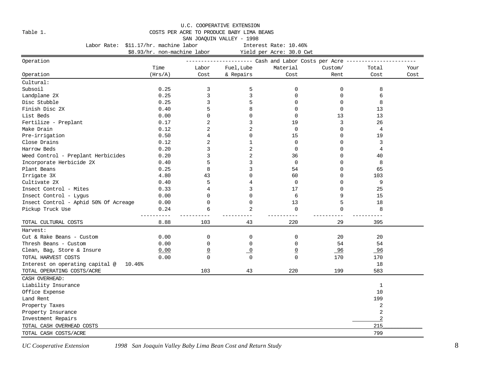#### U.C. COOPERATIVE EXTENSION

#### Table 1. COSTS PER ACRE TO PRODUCE BABY LIMA BEANS

SAN JOAQUIN VALLEY - 1998

Labor Rate: \$11.17/hr. machine labor [11] Interest Rate: 10.46% \$8.93/hr. non-machine labor Yield per Acre: 30.0 Cwt Operation ---------------------- Cash and Labor Costs per Acre ----------------------- Time Labor Fuel,Lube Material Custom/ Total Your Operation (Hrs/A) Cost & Repairs Cost Rent Cost Cost Cultural: Subsoil 0.25 3 5 0 0 8 Landplane 2X 0.25 3 3 0 0 6 Disc Stubble 0.25 3 5 0 0 8 Finish Disc 2X 0.40 5 8 0 0 13 List Beds 0.00 0 0 0 13 13 Fertilize - Preplant 0.17 2 3 19 3 26 Make Drain 0.12 2 2 0 0 4 Pre-irrigation 0.50 4 0 15 0 19 Close Drains 0.12 2 1 0 0 3 Harrow Beds 0.20 3 2 0 0 4 Weed Control - Preplant Herbicides  $0.20$  3 36 36 0 40 Incorporate Herbicide 2X 0.40 5 3 0 0 8 Plant Beans 0.25 8 3 54 0 65 Irrigate 3X 4.80 43 0 60 0 103 Cultivate 2X  $\begin{array}{ccccccccccc} 0.40 & 5 & 4 & 0 & 0 & 9 \end{array}$ Insect Control - Mites 0.33 4 3 17 0 25 Insect Control - Lygus 0.00 0 0 6 9 15 Insect Control - Aphid 50% Of Acreage 0.00 0 0 13 5 18 Pickup Truck Use 1992 1992 12:34 12:35 12:36 12:36 12:36 12:36 12:37 12:38 12:39 13:39 13:39 13:39 13:39 13:39 ---------- ---------- ---------- ---------- ---------- ---------- TOTAL CULTURAL COSTS 8.88 103 43 220 29 395 Harvest: Cut & Rake Beans - Custom 0.00 0 0 0 20 20 Thresh Beans - Custom 0.00 0 0 0 54 54  $\text{clean}, \text{ Bag}, \text{ Store} \& \text{Insure}$  0.00 0 0 0 96 96 96 TOTAL HARVEST COSTS 0.00 0 0 0 170 170 Interest on operating capital  $\Theta$  10.46% 18 TOTAL OPERATING COSTS/ACRE 103 103 43 220 199 583 CASH OVERHEAD: Liability Insurance 1 Office Expense 10 Land Rent 199 Property Taxes 2012 2013 2014 12:30 2014 2015 2016 2017 2022 2023 2024 2024 2025 2026 2027 2028 2024 2025 2027 2028 2027 2028 2027 2028 2027 2028 2027 2028 2027 2028 2027 2028 2027 2028 2027 2028 2027 2028 2027 2028 2027 2 Property Insurance 2 Investment Repairs 2 TOTAL CASH OVERHEAD COSTS 215 TOTAL CASH COSTS/ACRE 799

*UC Cooperative Extension* 1998 San Joaquin Valley Baby Lima Bean Cost and Return Study 8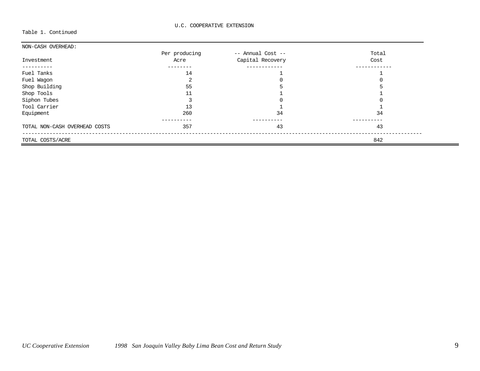Table 1. Continued

| NON-CASH OVERHEAD:            |               |                   |       |
|-------------------------------|---------------|-------------------|-------|
|                               | Per producing | -- Annual Cost -- | Total |
| Investment                    | Acre          | Capital Recovery  | Cost  |
|                               |               |                   |       |
| Fuel Tanks                    | 14            |                   |       |
| Fuel Wagon                    |               |                   |       |
| Shop Building                 | 55            |                   |       |
| Shop Tools                    | 11            |                   |       |
| Siphon Tubes                  |               |                   |       |
| Tool Carrier                  | 13            |                   |       |
| Equipment                     | 260           | 34                | 34    |
| TOTAL NON-CASH OVERHEAD COSTS | 357           | 43                | 43    |
| TOTAL COSTS/ACRE              |               |                   | 842   |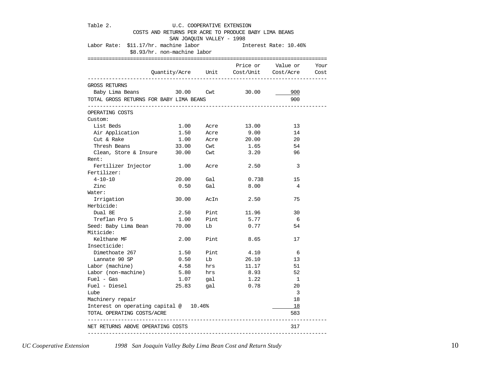| Labor Rate: \$11.17/hr. machine labor   | \$8.93/hr. non-machine labor |                      |                                             | Interest Rate: 10.46%   |  |
|-----------------------------------------|------------------------------|----------------------|---------------------------------------------|-------------------------|--|
|                                         |                              |                      | Quantity/Acre Unit Cost/Unit Cost/Acre Cost | Price or Value or Your  |  |
| GROSS RETURNS                           |                              |                      |                                             |                         |  |
| Baby Lima Beans 30.00 Cwt 30.00         |                              |                      |                                             | 900                     |  |
| TOTAL GROSS RETURNS FOR BABY LIMA BEANS |                              |                      |                                             | 900                     |  |
| OPERATING COSTS                         |                              |                      |                                             |                         |  |
| Custom:                                 |                              |                      |                                             |                         |  |
| List Beds                               |                              |                      | 1.00 Acre 13.00                             | 13                      |  |
| Air Application                         |                              | 1.50 Acre            | 9.00                                        | 14                      |  |
| Cut & Rake                              | 1.00                         | Acre                 | 20.00                                       | 20                      |  |
| Thresh Beans                            | 33.00 Cwt                    |                      | 1.65                                        | 54                      |  |
| Clean, Store & Insure 30.00 Cwt         |                              |                      | 3.20                                        | 96                      |  |
| Rent:                                   |                              |                      |                                             |                         |  |
| Fertilizer Injector 1.00                |                              |                      | Acre 2.50                                   | 3                       |  |
| Fertilizer:                             |                              |                      |                                             |                         |  |
| $4 - 10 - 10$                           | 20.00                        | Gal                  | 0.738                                       | 15                      |  |
| Zinc                                    | 0.50                         | Gal                  | 8.00                                        | 4                       |  |
| Water:                                  |                              |                      |                                             |                         |  |
| Irrigation                              | 30.00                        |                      | AcIn 2.50                                   | 75                      |  |
| Herbicide:                              |                              |                      |                                             |                         |  |
| Dual 8E                                 | 2.50                         | Pint                 | 11.96                                       | 30                      |  |
| Treflan Pro 5                           | 1.00                         | Pint                 | 5.77                                        | 6                       |  |
| Seed: Baby Lima Bean                    | 70.00                        | Lb                   | 0.77                                        | 54                      |  |
| Miticide:                               |                              |                      |                                             |                         |  |
| Kelthane MF                             |                              | 2.00 Pint            | 8.65                                        | 17                      |  |
| Insecticide:                            |                              |                      |                                             |                         |  |
| Dimethoate 267                          | 1.50                         | Pint                 | 4.10                                        | 6                       |  |
| Lannate 90 SP                           | 0.50                         | Lb                   | 26.10                                       | 13                      |  |
| Labor (machine)                         |                              |                      | 11.17                                       | 51                      |  |
| Labor (non-machine)                     |                              | 4.58 hrs<br>5.80 hrs | 8.93                                        | 52                      |  |
| $Fuel - Gas$                            |                              | $1.07$ gal           | 1.22                                        | $\overline{1}$          |  |
| Fuel - Diesel                           |                              | 25.83 gal            | 0.78                                        | 20                      |  |
| Lube                                    |                              |                      |                                             | $\overline{\mathbf{3}}$ |  |
| Machinery repair                        |                              |                      |                                             | 18                      |  |
| Interest on operating capital @ 10.46%  |                              |                      |                                             | 18                      |  |
| TOTAL OPERATING COSTS/ACRE              |                              |                      |                                             | 583                     |  |

*UC Cooperative Extension* 1998 San Joaquin Valley Baby Lima Bean Cost and Return Study 10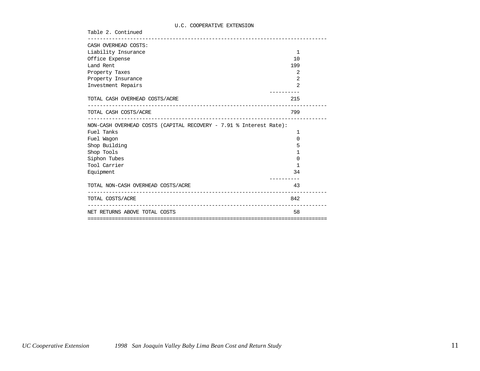### U.C. COOPERATIVE EXTENSION

Table 2. Continued

| CASH OVERHEAD COSTS:                                               |                |
|--------------------------------------------------------------------|----------------|
| Liability Insurance                                                | $\mathbf 1$    |
| Office Expense                                                     | 10             |
| Land Rent                                                          | 199            |
| Property Taxes                                                     | 2              |
| Property Insurance                                                 | 2              |
| Investment Repairs                                                 | $\mathfrak{D}$ |
|                                                                    |                |
| TOTAL CASH OVERHEAD COSTS/ACRE                                     | 215            |
| TOTAL CASH COSTS/ACRE                                              | 799            |
| NON-CASH OVERHEAD COSTS (CAPITAL RECOVERY - 7.91 % Interest Rate): |                |
| Fuel Tanks                                                         | 1              |
| Fuel Wagon                                                         | $\Omega$       |
| Shop Building                                                      | 5              |
| Shop Tools                                                         | 1              |
| Siphon Tubes                                                       | $\Omega$       |
| Tool Carrier                                                       | 1              |
| Equipment                                                          | 34             |
| TOTAL NON-CASH OVERHEAD COSTS/ACRE                                 | 43             |
| TOTAL COSTS/ACRE                                                   | 842            |
| NET RETURNS ABOVE TOTAL COSTS                                      | 58             |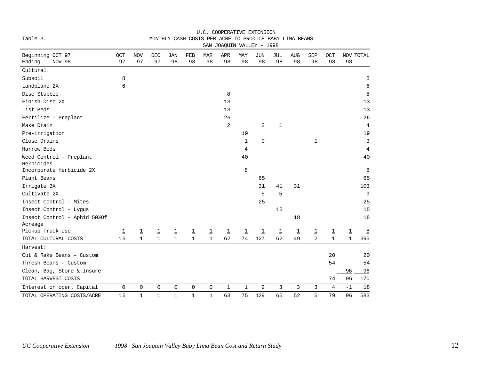|                                                       |                                         |                                         |                                         |                                   |                                         |                      | SAN JOAQUIN VALLEY - 1998 |                                |                               |                               |                     |                                         |                                |                       |
|-------------------------------------------------------|-----------------------------------------|-----------------------------------------|-----------------------------------------|-----------------------------------|-----------------------------------------|----------------------|---------------------------|--------------------------------|-------------------------------|-------------------------------|---------------------|-----------------------------------------|--------------------------------|-----------------------|
| Beginning OCT 97<br>OCT                               | <b>NOV</b>                              | DEC                                     | JAN                                     | FEB                               | <b>MAR</b>                              | APR                  | MAY                       | <b>JUN</b>                     | JUL                           | <b>AUG</b>                    | <b>SEP</b>          | OCT                                     | NOV TOTAL                      |                       |
| 97<br>Ending<br>NOV 98                                | 97                                      | 97                                      | 98                                      | 98                                | 98                                      | 98                   | 98                        | 98                             | 98                            | 98                            | 98                  | 98                                      | 98                             |                       |
| Cultural:                                             |                                         |                                         |                                         |                                   |                                         |                      |                           |                                |                               |                               |                     |                                         |                                |                       |
| Subsoil<br>8                                          |                                         |                                         |                                         |                                   |                                         |                      |                           |                                |                               |                               |                     |                                         |                                | 8                     |
| Landplane 2X<br>6                                     |                                         |                                         |                                         |                                   |                                         |                      |                           |                                |                               |                               |                     |                                         |                                | 6                     |
| Disc Stubble                                          |                                         |                                         |                                         |                                   |                                         | 8                    |                           |                                |                               |                               |                     |                                         |                                | 8                     |
| Finish Disc 2X                                        |                                         |                                         |                                         |                                   |                                         | 13                   |                           |                                |                               |                               |                     |                                         |                                | 13                    |
| List Beds                                             |                                         |                                         |                                         |                                   |                                         | 13                   |                           |                                |                               |                               |                     |                                         |                                | 13                    |
| Fertilize - Preplant                                  |                                         |                                         |                                         |                                   |                                         | 26                   |                           |                                |                               |                               |                     |                                         |                                | 26                    |
| Make Drain                                            |                                         |                                         |                                         |                                   |                                         | 2                    |                           | 2                              | $\mathbf 1$                   |                               |                     |                                         |                                | $\overline{4}$        |
| Pre-irrigation                                        |                                         |                                         |                                         |                                   |                                         |                      | 19                        |                                |                               |                               |                     |                                         |                                | 19                    |
| Close Drains                                          |                                         |                                         |                                         |                                   |                                         |                      | $\mathbf 1$               | 0                              |                               |                               | $\mathbf{1}$        |                                         |                                | 3                     |
| Harrow Beds                                           |                                         |                                         |                                         |                                   |                                         |                      | 4                         |                                |                               |                               |                     |                                         |                                | 4                     |
| Weed Control - Preplant                               |                                         |                                         |                                         |                                   |                                         |                      | 40                        |                                |                               |                               |                     |                                         |                                | 40                    |
| Herbicides                                            |                                         |                                         |                                         |                                   |                                         |                      |                           |                                |                               |                               |                     |                                         |                                |                       |
| Incorporate Herbicide 2X                              |                                         |                                         |                                         |                                   |                                         |                      | 8                         |                                |                               |                               |                     |                                         |                                | 8                     |
| Plant Beans                                           |                                         |                                         |                                         |                                   |                                         |                      |                           | 65                             |                               |                               |                     |                                         |                                | 65                    |
| Irrigate 3X                                           |                                         |                                         |                                         |                                   |                                         |                      |                           | 31                             | 41                            | 31                            |                     |                                         |                                | 103                   |
| Cultivate 2X                                          |                                         |                                         |                                         |                                   |                                         |                      |                           | 5                              | 5                             |                               |                     |                                         |                                | 9                     |
| Insect Control - Mites                                |                                         |                                         |                                         |                                   |                                         |                      |                           | 25                             |                               |                               |                     |                                         |                                | 25                    |
| Insect Control - Lyqus                                |                                         |                                         |                                         |                                   |                                         |                      |                           |                                | 15                            |                               |                     |                                         |                                | 15                    |
| Insect Control - Aphid 50% Of                         |                                         |                                         |                                         |                                   |                                         |                      |                           |                                |                               | 18                            |                     |                                         |                                | 18                    |
| Acreage<br>Pickup Truck Use                           |                                         |                                         |                                         |                                   |                                         |                      |                           |                                |                               |                               |                     |                                         |                                |                       |
| $\overline{\mathbf{1}}$<br>15<br>TOTAL CULTURAL COSTS | $\overline{\mathbf{1}}$<br>$\mathbf{1}$ | $\overline{\mathbf{1}}$<br>$\mathbf{1}$ | $\overline{\mathbf{1}}$<br>$\mathbf{1}$ | $\overline{\perp}$<br>$\mathbf 1$ | $\overline{\mathbf{1}}$<br>$\mathbf{1}$ | $\overline{1}$<br>62 | $\overline{1}$<br>74      | $\overline{\mathsf{I}}$<br>127 | $\overline{\mathbf{1}}$<br>62 | $\overline{\mathbf{1}}$<br>49 | $\overline{1}$<br>2 | $\overline{\mathbf{1}}$<br>$\mathbf{1}$ | $\overline{1}$<br>$\mathbf{1}$ | $\overline{8}$<br>395 |
| Harvest:                                              |                                         |                                         |                                         |                                   |                                         |                      |                           |                                |                               |                               |                     |                                         |                                |                       |
| Cut & Rake Beans - Custom                             |                                         |                                         |                                         |                                   |                                         |                      |                           |                                |                               |                               |                     | 20                                      |                                | 20                    |
| Thresh Beans - Custom                                 |                                         |                                         |                                         |                                   |                                         |                      |                           |                                |                               |                               |                     | 54                                      |                                | 54                    |
| Clean, Bag, Store & Insure                            |                                         |                                         |                                         |                                   |                                         |                      |                           |                                |                               |                               |                     |                                         | 96                             | 96                    |
| TOTAL HARVEST COSTS                                   |                                         |                                         |                                         |                                   |                                         |                      |                           |                                |                               |                               |                     | 74                                      | 96                             | 170                   |
| 0<br>Interest on oper. Capital                        | 0                                       | 0                                       | 0                                       | $\mathbf 0$                       | 0                                       | $\mathbf{1}$         | $\mathbf 1$               | 2                              | 3                             | 3                             | 3                   | 4                                       | $-1$                           | 18                    |
| TOTAL OPERATING COSTS/ACRE<br>15                      | $\mathbf{1}$                            | $\mathbf 1$                             | $\mathbf{1}$                            | $\mathbf 1$                       | $\mathbf 1$                             | 63                   | 75                        | 129                            | 65                            | 52                            | 5                   | 79                                      | 96                             | 583                   |

### U.C. COOPERATIVE EXTENSION Table 3. MONTHLY CASH COSTS PER ACRE TO PRODUCE BABY LIMA BEANS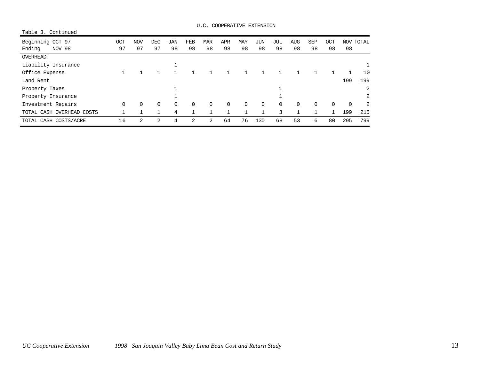| U.C. COOPERATIVE EXTENSION |
|----------------------------|
|----------------------------|

| Table 3. Continued        |                |            |                |                |                |                |                 |                |            |                |                |                |                |                |                |
|---------------------------|----------------|------------|----------------|----------------|----------------|----------------|-----------------|----------------|------------|----------------|----------------|----------------|----------------|----------------|----------------|
| Beginning OCT 97          | OCT            | <b>NOV</b> | <b>DEC</b>     | <b>JAN</b>     | <b>FEB</b>     | <b>MAR</b>     | <b>APR</b>      | <b>MAY</b>     | <b>JUN</b> | JUL            | <b>AUG</b>     | <b>SEP</b>     | OCT            |                | NOV TOTAL      |
| Ending<br>NOV 98          | 97             | 97         | 97             | 98             | 98             | 98             | 98              | 98             | 98         | 98             | 98             | 98             | 98             | 98             |                |
| <b>OVERHEAD:</b>          |                |            |                |                |                |                |                 |                |            |                |                |                |                |                |                |
| Liability Insurance       |                |            |                |                |                |                |                 |                |            |                |                |                |                |                |                |
| Office Expense            |                |            |                |                |                |                | 1               |                |            |                |                |                |                | 1              | 10             |
| Land Rent                 |                |            |                |                |                |                |                 |                |            |                |                |                |                | 199            | 199            |
| Property Taxes            |                |            |                |                |                |                |                 |                |            |                |                |                |                |                | 2              |
| Property Insurance        |                |            |                |                |                |                |                 |                |            |                |                |                |                |                | 2              |
| Investment Repairs        | $\overline{0}$ | 0          | $\overline{0}$ | $\overline{0}$ | $\overline{0}$ | $\overline{0}$ | $\underline{0}$ | $\overline{0}$ | 0          | $\overline{0}$ | $\overline{0}$ | $\overline{0}$ | $\overline{0}$ | $\overline{0}$ | $\overline{2}$ |
| TOTAL CASH OVERHEAD COSTS |                |            |                | 4              |                | п              | $\mathbf 1$     |                |            | 3              |                |                | 1              | 199            | 215            |
| TOTAL CASH COSTS/ACRE     | 16             | 2          | 2              | 4              | 2              | 2              | 64              | 76             | 130        | 68             | 53             | 6              | 80             | 295            | 799            |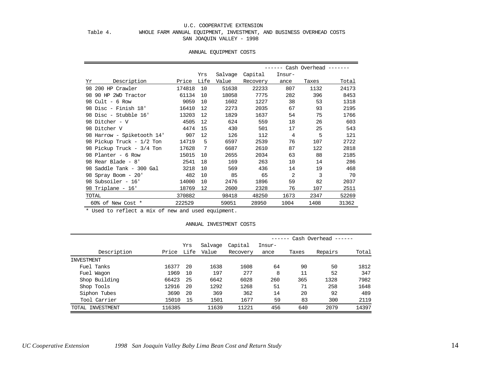#### U.C. COOPERATIVE EXTENSION

### Table 4. WHOLE FARM ANNUAL EQUIPMENT, INVESTMENT, AND BUSINESS OVERHEAD COSTS SAN JOAQUIN VALLEY - 1998

#### ANNUAL EQUIPMENT COSTS

|    |                            |        | Yrs  | Salvage | Capital  | Insur- |       |       |
|----|----------------------------|--------|------|---------|----------|--------|-------|-------|
| Yr | Description                | Price  | Life | Value   | Recovery | ance   | Taxes | Total |
|    | 98 200 HP Crawler          | 174818 | 10   | 51638   | 22233    | 807    | 1132  | 24173 |
|    | 98 90 HP 2WD Tractor       | 61134  | 10   | 18058   | 7775     | 282    | 396   | 8453  |
|    | 98 Cult - $6$ Row          | 9059   | 10   | 1602    | 1227     | 38     | 53    | 1318  |
|    | 98 Disc - Finish 18'       | 16410  | 12   | 2273    | 2035     | 67     | 93    | 2195  |
|    | 98 Disc - Stubble 16'      | 13203  | 12   | 1829    | 1637     | 54     | 75    | 1766  |
|    | 98 Ditcher - V             | 4505   | 12   | 624     | 559      | 18     | 26    | 603   |
|    | 98 Ditcher V               | 4474   | 15   | 430     | 501      | 17     | 25    | 543   |
|    | 98 Harrow - Spiketooth 14' | 907    | 12   | 126     | 112      | 4      | 5     | 121   |
|    | 98 Pickup Truck - 1/2 Ton  | 14719  | 5    | 6597    | 2539     | 76     | 107   | 2722  |
|    | 98 Pickup Truck - 3/4 Ton  | 17628  | -7   | 6687    | 2610     | 87     | 122   | 2818  |
|    | 98 Planter - 6 Row         | 15015  | 10   | 2655    | 2034     | 63     | 88    | 2185  |
|    | 98 Rear Blade - 8'         | 2541   | 18   | 169     | 263      | 10     | 14    | 286   |
|    | 98 Saddle Tank - 300 Gal   | 3218   | 10   | 569     | 436      | 14     | 19    | 468   |
|    | 98 Spray Boom - 20'        | 482    | 10   | 85      | 65       | 2      | 3     | 70    |
|    | 98 Subsoiler - 16'         | 14000  | 10   | 2476    | 1896     | 59     | 82    | 2037  |
|    | 98 Triplane - 16'          | 18769  | 12   | 2600    | 2328     | 76     | 107   | 2511  |
|    | TOTAL                      | 370882 |      | 98418   | 48250    | 1673   | 2347  | 52269 |
|    | 60% of New Cost *          | 222529 |      | 59051   | 28950    | 1004   | 1408  | 31362 |

\* Used to reflect a mix of new and used equipment.

#### ANNUAL INVESTMENT COSTS

|                  |        |      |         |          |        |       | Cash Overhead |       |
|------------------|--------|------|---------|----------|--------|-------|---------------|-------|
|                  |        | Yrs  | Salvage | Capital  | Insur- |       |               |       |
| Description      | Price  | Life | Value   | Recovery | ance   | Taxes | Repairs       | Total |
| INVESTMENT       |        |      |         |          |        |       |               |       |
| Fuel Tanks       | 16377  | 20   | 1638    | 1608     | 64     | 90    | 50            | 1812  |
| Fuel Wagon       | 1969   | 10   | 197     | 277      | 8      | 11    | 52            | 347   |
| Shop Building    | 66423  | 25   | 6642    | 6028     | 260    | 365   | 1328          | 7982  |
| Shop Tools       | 12916  | -20  | 1292    | 1268     | 51     | 71    | 258           | 1648  |
| Siphon Tubes     | 3690   | 20   | 369     | 362      | 14     | 20    | 92            | 489   |
| Tool Carrier     | 15010  | 15   | 1501    | 1677     | 59     | 83    | 300           | 2119  |
| TOTAL INVESTMENT | 116385 |      | 11639   | 11221    | 456    | 640   | 2079          | 14397 |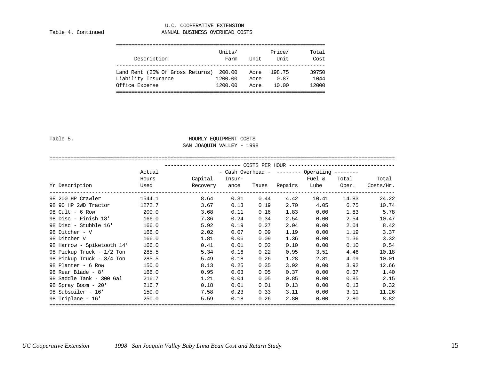#### U.C. COOPERATIVE EXTENSION Table 4. Continued **ANNUAL BUSINESS OVERHEAD COSTS**

|                                  | Units/  |      | Price/ | Total |
|----------------------------------|---------|------|--------|-------|
| Description                      | Farm    | Unit | Unit   | Cost  |
|                                  |         |      |        |       |
| Land Rent (25% Of Gross Returns) | 200.00  | Acre | 198.75 | 39750 |
| Liability Insurance              | 1200.00 | Acre | 0.87   | 1044  |
| Office Expense                   | 1200.00 | Acre | 10.00  | 12000 |
|                                  |         |      |        |       |

## Table 5. Table 5.

### SAN JOAQUIN VALLEY - 1998

#### ==================================================================================================================

|                            | COSTS PER HOUR ---------------------------------- |          |                   |       |         |                             |       |           |  |  |  |
|----------------------------|---------------------------------------------------|----------|-------------------|-------|---------|-----------------------------|-------|-----------|--|--|--|
|                            | Actual                                            |          | - Cash Overhead - |       |         | $------$ Operating $------$ |       |           |  |  |  |
|                            | Hours                                             | Capital  | Insur-            |       |         | Fuel &                      | Total | Total     |  |  |  |
| Yr Description             | Used                                              | Recovery | ance              | Taxes | Repairs | Lube                        | Oper. | Costs/Hr. |  |  |  |
| 98 200 HP Crawler          | 1544.1                                            | 8.64     | 0.31              | 0.44  | 4.42    | 10.41                       | 14.83 | 24.22     |  |  |  |
| 98 90 HP 2WD Tractor       | 1272.7                                            | 3.67     | 0.13              | 0.19  | 2.70    | 4.05                        | 6.75  | 10.74     |  |  |  |
| 98 Cult - $6$ Row          | 200.0                                             | 3.68     | 0.11              | 0.16  | 1.83    | 0.00                        | 1.83  | 5.78      |  |  |  |
| 98 Disc - Finish 18'       | 166.0                                             | 7.36     | 0.24              | 0.34  | 2.54    | 0.00                        | 2.54  | 10.47     |  |  |  |
| 98 Disc - Stubble 16'      | 166.0                                             | 5.92     | 0.19              | 0.27  | 2.04    | 0.00                        | 2.04  | 8.42      |  |  |  |
| 98 Ditcher - V             | 166.0                                             | 2.02     | 0.07              | 0.09  | 1.19    | 0.00                        | 1.19  | 3.37      |  |  |  |
| 98 Ditcher V               | 166.0                                             | 1.81     | 0.06              | 0.09  | 1.36    | 0.00                        | 1.36  | 3.32      |  |  |  |
| 98 Harrow - Spiketooth 14' | 166.0                                             | 0.41     | 0.01              | 0.02  | 0.10    | 0.00                        | 0.10  | 0.54      |  |  |  |
| 98 Pickup Truck - 1/2 Ton  | 285.5                                             | 5.34     | 0.16              | 0.22  | 0.95    | 3.51                        | 4.46  | 10.18     |  |  |  |
| 98 Pickup Truck - 3/4 Ton  | 285.5                                             | 5.49     | 0.18              | 0.26  | 1.28    | 2.81                        | 4.09  | 10.01     |  |  |  |
| 98 Planter - 6 Row         | 150.0                                             | 8.13     | 0.25              | 0.35  | 3.92    | 0.00                        | 3.92  | 12.66     |  |  |  |
| 98 Rear Blade - 8'         | 166.0                                             | 0.95     | 0.03              | 0.05  | 0.37    | 0.00                        | 0.37  | 1.40      |  |  |  |
| 98 Saddle Tank - 300 Gal   | 216.7                                             | 1.21     | 0.04              | 0.05  | 0.85    | 0.00                        | 0.85  | 2.15      |  |  |  |
| 98 Spray Boom - 20'        | 216.7                                             | 0.18     | 0.01              | 0.01  | 0.13    | 0.00                        | 0.13  | 0.32      |  |  |  |
| 98 Subsoiler - 16'         | 150.0                                             | 7.58     | 0.23              | 0.33  | 3.11    | 0.00                        | 3.11  | 11.26     |  |  |  |
| 98 Triplane - $16'$        | 250.0                                             | 5.59     | 0.18              | 0.26  | 2.80    | 0.00                        | 2.80  | 8.82      |  |  |  |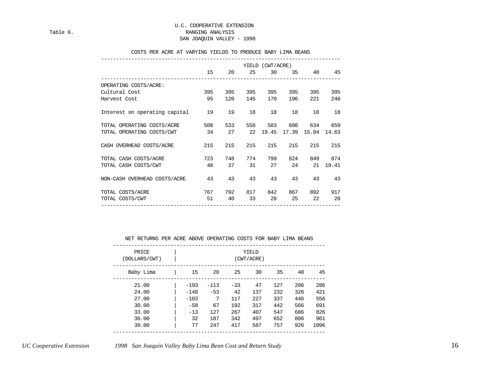#### COSTS PER ACRE AT VARYING YIELDS TO PRODUCE BABY LIMA BEANS

|                               | 15  | 20  | 25  | YIELD (CWT/ACRE)<br>30 |     | 35<br>40             | 45    |
|-------------------------------|-----|-----|-----|------------------------|-----|----------------------|-------|
|                               |     |     |     |                        |     |                      |       |
| OPERATING COSTS/ACRE:         |     |     |     |                        |     |                      |       |
| Cultural Cost                 | 395 | 395 | 395 | 395                    | 395 | 395                  | 395   |
| Harvest Cost                  | 95  | 120 | 145 | 170                    | 196 | 221                  | 246   |
| Interest on operating capital | 19  | 19  | 18  | 18                     | 18  | 18                   | 18    |
| TOTAL OPERATING COSTS/ACRE    | 508 | 533 | 558 | 583                    | 608 | 634                  | 659   |
| TOTAL OPERATING COSTS/CWT     | 34  | 27  |     |                        |     | 22 19.45 17.39 15.84 | 14.63 |
| CASH OVERHEAD COSTS/ACRE      | 215 | 215 | 215 | 215                    | 215 | 215                  | 215   |
| TOTAL CASH COSTS/ACRE         | 723 | 748 | 774 | 799                    | 824 | 849                  | 874   |
| TOTAL CASH COSTS/CWT          | 48  | 37  | 31  | 27                     | 24  | 21                   | 19.41 |
| NON-CASH OVERHEAD COSTS/ACRE  | 43  | 43  | 43  | 43                     | 43  | 43                   | 43    |
| TOTAL COSTS/ACRE              | 767 | 792 | 817 | 842                    | 867 | 892                  | 917   |
| TOTAL COSTS/CWT               | 51  | 40  | 33  | 28                     | 25  | 22                   | 20    |

#### NET RETURNS PER ACRE ABOVE OPERATING COSTS FOR BABY LIMA BEANS

| PRICE<br>(DOLLARS/CWT) |        | YIELD<br>(CWT/ACRE) |       |     |     |     |      |
|------------------------|--------|---------------------|-------|-----|-----|-----|------|
| Baby Lima              | 15     | 20                  | 25    | 30  | 35  | 40  | 45   |
| 21.00                  | $-193$ | $-113$              | $-33$ | 47  | 127 | 206 | 286  |
| 24.00                  | $-148$ | $-53$               | 42    | 137 | 232 | 326 | 421  |
| 27.00                  | $-103$ | 7                   | 117   | 227 | 337 | 446 | 556  |
| 30.00                  | $-58$  | 67                  | 192   | 317 | 442 | 566 | 691  |
| 33.00                  | $-13$  | 127                 | 267   | 407 | 547 | 686 | 826  |
| 36.00                  | 32     | 187                 | 342   | 497 | 652 | 806 | 961  |
| 39.00                  | 77     | 247                 | 417   | 587 | 757 | 926 | 1096 |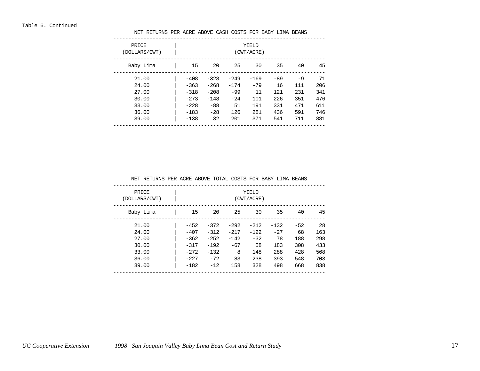| PRICE<br>(DOLLARS/CWT) | YIELD<br>(CWT/ACRE) |        |        |        |       |      |     |
|------------------------|---------------------|--------|--------|--------|-------|------|-----|
| Baby Lima              | 15                  | 20     | 25     | 30     | 35    | 40   | 45  |
| 21.00                  | $-408$              | $-328$ | $-249$ | $-169$ | $-89$ | $-9$ | 71  |
| 24.00                  | $-363$              | $-268$ | $-174$ | $-79$  | 16    | 111  | 206 |
| 27.00                  | $-318$              | $-208$ | $-99$  | 11     | 121   | 231  | 341 |
| 30.00                  | $-273$              | $-148$ | $-24$  | 101    | 226   | 351  | 476 |
| 33.00                  | $-228$              | $-88$  | 51     | 191    | 331   | 471  | 611 |
| 36.00                  | $-183$              | $-28$  | 126    | 281    | 436   | 591  | 746 |
| 39.00                  | $-138$              | 32     | 201    | 371    | 541   | 711  | 881 |

NET RETURNS PER ACRE ABOVE CASH COSTS FOR BABY LIMA BEANS

NET RETURNS PER ACRE ABOVE TOTAL COSTS FOR BABY LIMA BEANS

| PRICE<br>(DOLLARS/CWT) |        | YIELD<br>(CWT/ACRE) |        |        |        |       |     |
|------------------------|--------|---------------------|--------|--------|--------|-------|-----|
| Baby Lima              | 15     | 20                  | 25     | 30     | 35     | 40    | 45  |
| 21.00                  | $-452$ | $-372$              | $-292$ | $-212$ | $-132$ | $-52$ | 28  |
| 24.00                  | $-407$ | $-312$              | $-217$ | $-122$ | $-27$  | 68    | 163 |
| 27.00                  | $-362$ | $-252$              | $-142$ | $-32$  | 78     | 188   | 298 |
| 30.00                  | $-317$ | $-192$              | $-67$  | 58     | 183    | 308   | 433 |
| 33.00                  | $-272$ | $-132$              | 8      | 148    | 288    | 428   | 568 |
| 36.00                  | $-227$ | $-72$               | 83     | 238    | 393    | 548   | 703 |
| 39.00                  | $-182$ | $-12$               | 158    | 328    | 498    | 668   | 838 |